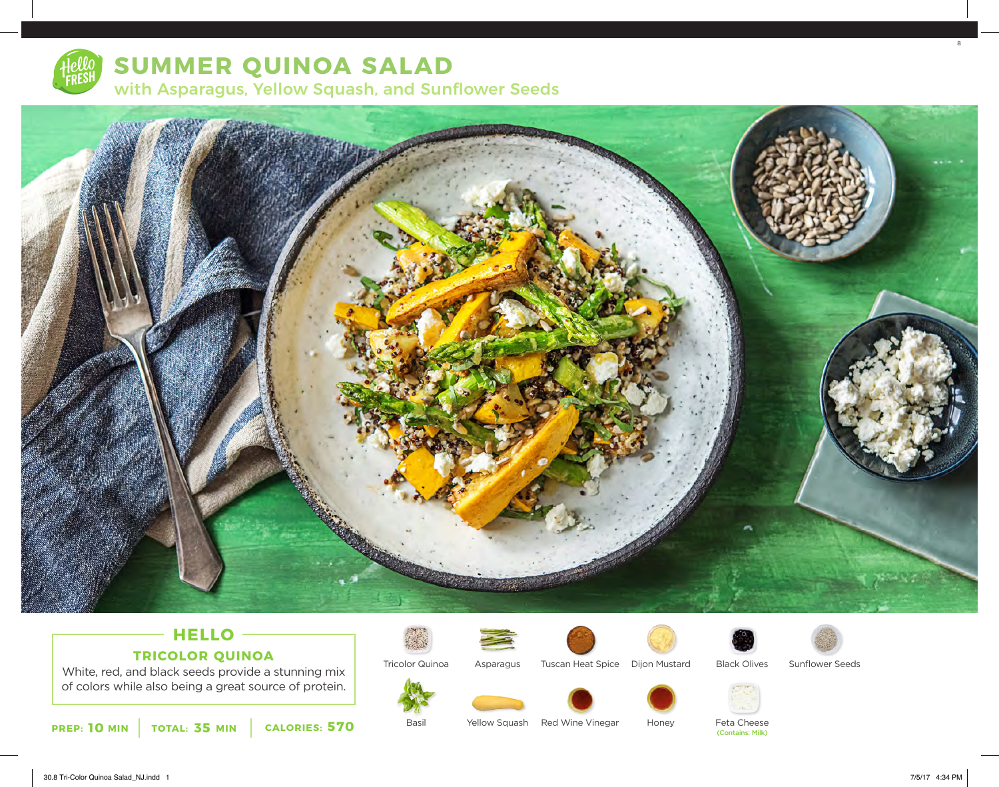

# **SUMMER QUINOA SALAD**

with Asparagus, Yellow Squash, and Sunflower Seeds



### **HELLO TRICOLOR QUINOA**

White, red, and black seeds provide a stunning mix of colors while also being a great source of protein.



Tricolor Quinoa





Tuscan Heat Spice Dijon Mustard



Sunflower Seeds





Asparagus



Honey

Feta Cheese<br>(Contains: Milk)

8